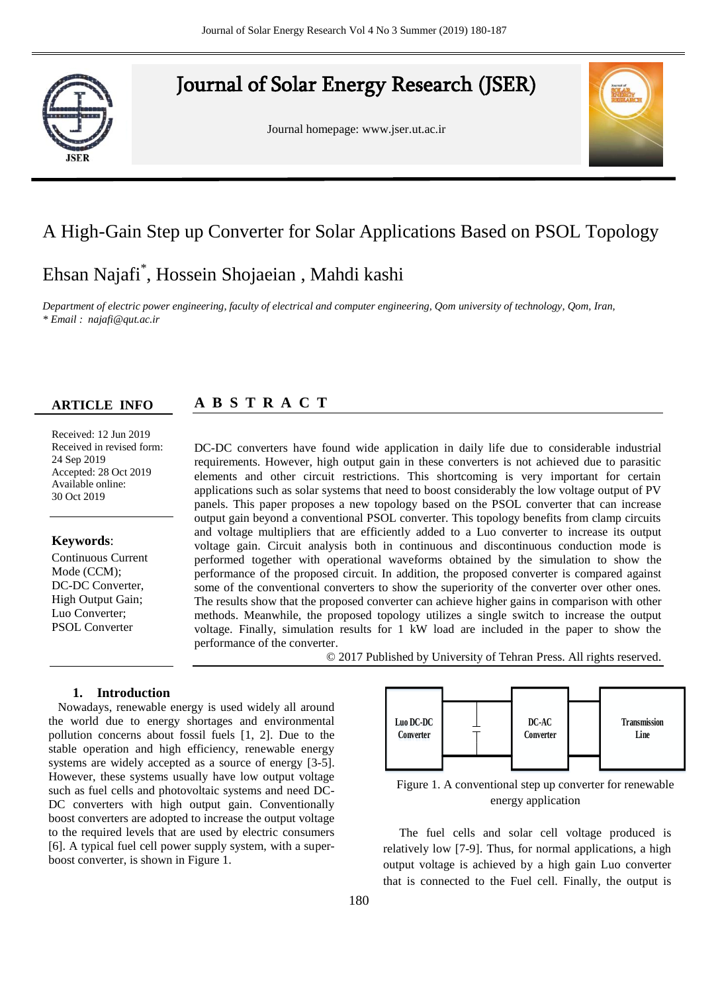## Journal of Solar Energy Research (JSER)

Journal homepage: www.jser.ut.ac.ir



### A High-Gain Step up Converter for Solar Applications Based on PSOL Topology

# Ehsan Najafi<sup>\*</sup>, Hossein Shojaeian , Mahdi kashi

*<sup>a</sup>First affiliation, Address, City and Postcode, Country \* Email : najafi@qut.ac.ir Department of electric power engineering, faculty of electrical and computer engineering, Qom university of technology, Qom, Iran,* 

#### **ARTICLE INFO ARTICLE INFO**

#### **A B S T R A C T S R A**

Received: 12 Jun 2019 Received in revised form: 24 Sep 2019 **Keywords**: 30 Oct 2019 Accepted: 28 Oct 2019 Available online:

#### Keywords:  $\frac{1}{6}$

Type 3-6 keywords

Continuous Current Mode (CCM); DC-DC Converter, High Output Gain; Luo Converter; PSOL Converter

DC-DC converters have found wide application in daily life due to considerable industrial requirements. However, high output gain in these converters is not achieved due to parasitic elements and other circuit restrictions. This shortcoming is very important for certain applications such as solar systems that need to boost considerably the low voltage output of PV panels. This paper proposes a new topology based on the PSOL converter that can increase output gain beyond a conventional PSOL converter. This topology benefits from clamp circuits and voltage multipliers that are efficiently added to a Luo converter to increase its output voltage gain. Circuit analysis both in continuous and discontinuous conduction mode is performed together with operational waveforms obtained by the simulation to show the performance of the proposed circuit. In addition, the proposed converter is compared against some of the conventional converters to show the superiority of the converter over other ones. The results show that the proposed converter can achieve higher gains in comparison with other methods. Meanwhile, the proposed topology utilizes a single switch to increase the output voltage. Finally, simulation results for 1 kW load are included in the paper to show the performance of the converter.

© 2017 Published by University of Tehran Press. All rights reserved.

#### **1. Introduction**

Nowadays, renewable energy is used widely all around the world due to energy shortages and environmental pollution concerns about fossil fuels [1, 2]. Due to the stable operation and high efficiency, renewable energy systems are widely accepted as a source of energy [3-5]. However, these systems usually have low output voltage such as fuel cells and photovoltaic systems and need DC-DC converters with high output gain. Conventionally boost converters are adopted to increase the output voltage to the required levels that are used by electric consumers [6]. A typical fuel cell power supply system, with a superboost converter, is shown in Figure 1.



Figure 1. A conventional step up converter for renewable energy application

The fuel cells and solar cell voltage produced is relatively low [7-9]. Thus, for normal applications, a high output voltage is achieved by a high gain Luo converter that is connected to the Fuel cell. Finally, the output is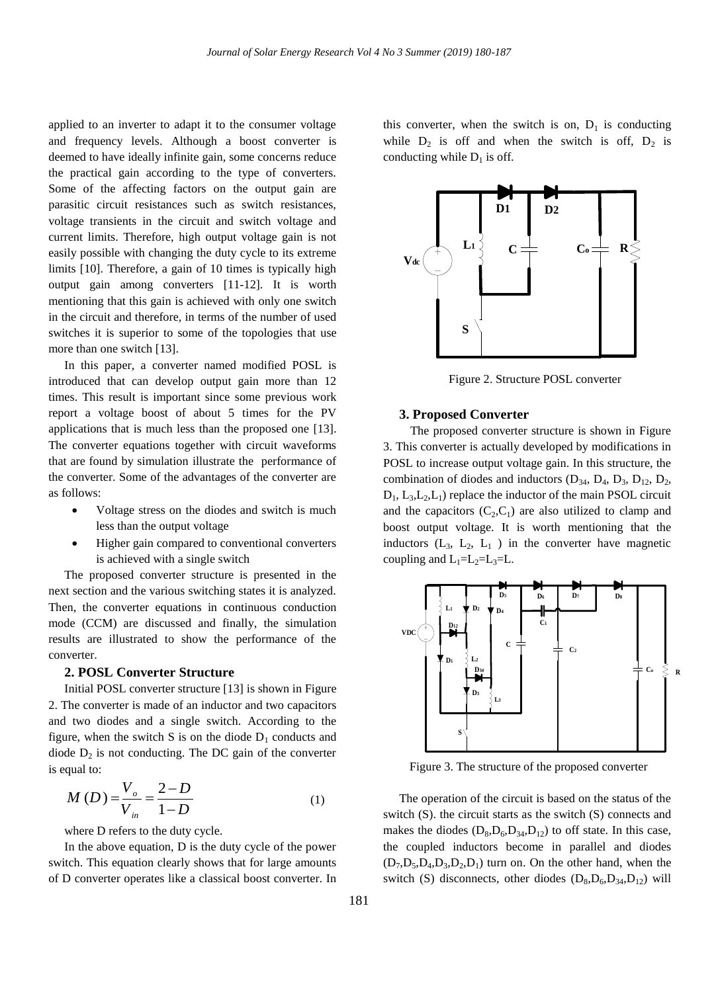applied to an inverter to adapt it to the consumer voltage and frequency levels. Although a boost converter is deemed to have ideally infinite gain, some concerns reduce the practical gain according to the type of converters. Some of the affecting factors on the output gain are parasitic circuit resistances such as switch resistances, voltage transients in the circuit and switch voltage and current limits. Therefore, high output voltage gain is not easily possible with changing the duty cycle to its extreme limits [10]. Therefore, a gain of 10 times is typically high output gain among converters [11-12]. It is worth mentioning that this gain is achieved with only one switch in the circuit and therefore, in terms of the number of used switches it is superior to some of the topologies that use more than one switch [13].

In this paper, a converter named modified POSL is introduced that can develop output gain more than 12 times. This result is important since some previous work report a voltage boost of about 5 times for the PV applications that is much less than the proposed one [13]. The converter equations together with circuit waveforms that are found by simulation illustrate the performance of the converter. Some of the advantages of the converter are as follows:

- Voltage stress on the diodes and switch is much less than the output voltage
- Higher gain compared to conventional converters is achieved with a single switch

The proposed converter structure is presented in the next section and the various switching states it is analyzed. Then, the converter equations in continuous conduction mode (CCM) are discussed and finally, the simulation results are illustrated to show the performance of the converter.

#### **2. POSL Converter Structure**

Initial POSL converter structure [13] is shown in Figure 2. The converter is made of an inductor and two capacitors and two diodes and a single switch. According to the figure, when the switch S is on the diode  $D_1$  conducts and diode  $D_2$  is not conducting. The DC gain of the converter is equal to:

$$
M(D) = \frac{V_o}{V_{in}} = \frac{2 - D}{1 - D}
$$
 (1)

where D refers to the duty cycle.

In the above equation, D is the duty cycle of the power switch. This equation clearly shows that for large amounts of D converter operates like a classical boost converter. In this converter, when the switch is on,  $D_1$  is conducting while  $D_2$  is off and when the switch is off,  $D_2$  is conducting while  $D_1$  is off.



Figure 2. Structure POSL converter

#### **3. Proposed Converter**

 The proposed converter structure is shown in Figure 3. This converter is actually developed by modifications in POSL to increase output voltage gain. In this structure, the combination of diodes and inductors  $(D_{34}, D_4, D_3, D_{12}, D_2,$  $D_1$ ,  $L_3$ , $L_2$ , $L_1$ ) replace the inductor of the main PSOL circuit and the capacitors  $(C_2, C_1)$  are also utilized to clamp and boost output voltage. It is worth mentioning that the inductors  $(L_3, L_2, L_1)$  in the converter have magnetic coupling and  $L_1=L_2=L_3=L$ .



Figure 3. The structure of the proposed converter

The operation of the circuit is based on the status of the switch (S). the circuit starts as the switch (S) connects and makes the diodes  $(D_8, D_6, D_{34}, D_{12})$  to off state. In this case, the coupled inductors become in parallel and diodes  $(D_7, D_5, D_4, D_3, D_2, D_1)$  turn on. On the other hand, when the switch (S) disconnects, other diodes  $(D_8, D_6, D_{34}, D_{12})$  will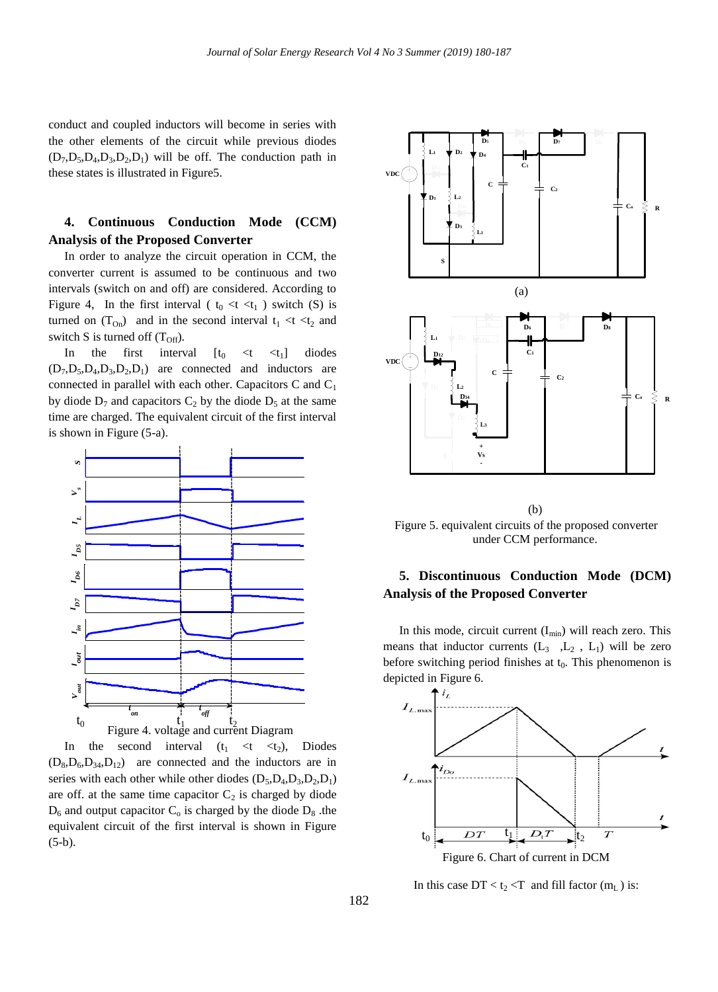conduct and coupled inductors will become in series with the other elements of the circuit while previous diodes  $(D_7, D_5, D_4, D_3, D_2, D_1)$  will be off. The conduction path in these states is illustrated in Figure5.

### **4. Continuous Conduction Mode (CCM) Analysis of the Proposed Converter**

In order to analyze the circuit operation in CCM, the converter current is assumed to be continuous and two intervals (switch on and off) are considered. According to Figure 4, In the first interval ( $t_0 < t < t_1$ ) switch (S) is turned on  $(T_{On})$  and in the second interval  $t_1 < t < t_2$  and switch S is turned off  $(T<sub>Off</sub>)$ .

In the first interval  $[t_0 \lt t \lt t_1]$ diodes  $(D_7, D_5, D_4, D_3, D_2, D_1)$  are connected and inductors are connected in parallel with each other. Capacitors C and  $C_1$ by diode  $D_7$  and capacitors  $C_2$  by the diode  $D_5$  at the same time are charged. The equivalent circuit of the first interval is shown in Figure (5-a).



In the second interval  $(t_1 \lt t \lt t_2)$ , Diodes  $(D_8, D_6, D_{34}, D_{12})$  are connected and the inductors are in series with each other while other diodes  $(D_5, D_4, D_3, D_2, D_1)$ are off. at the same time capacitor  $C_2$  is charged by diode  $D_6$  and output capacitor  $C_0$  is charged by the diode  $D_8$  .the equivalent circuit of the first interval is shown in Figure (5-b).



(b) Figure 5. equivalent circuits of the proposed converter under CCM performance.

### **5. Discontinuous Conduction Mode (DCM) Analysis of the Proposed Converter**

In this mode, circuit current  $(I_{min})$  will reach zero. This means that inductor currents  $(L_3, L_2, L_1)$  will be zero before switching period finishes at  $t_0$ . This phenomenon is depicted in Figure 6.



In this case  $DT < t_2 < T$  and fill factor  $(m_L)$  is: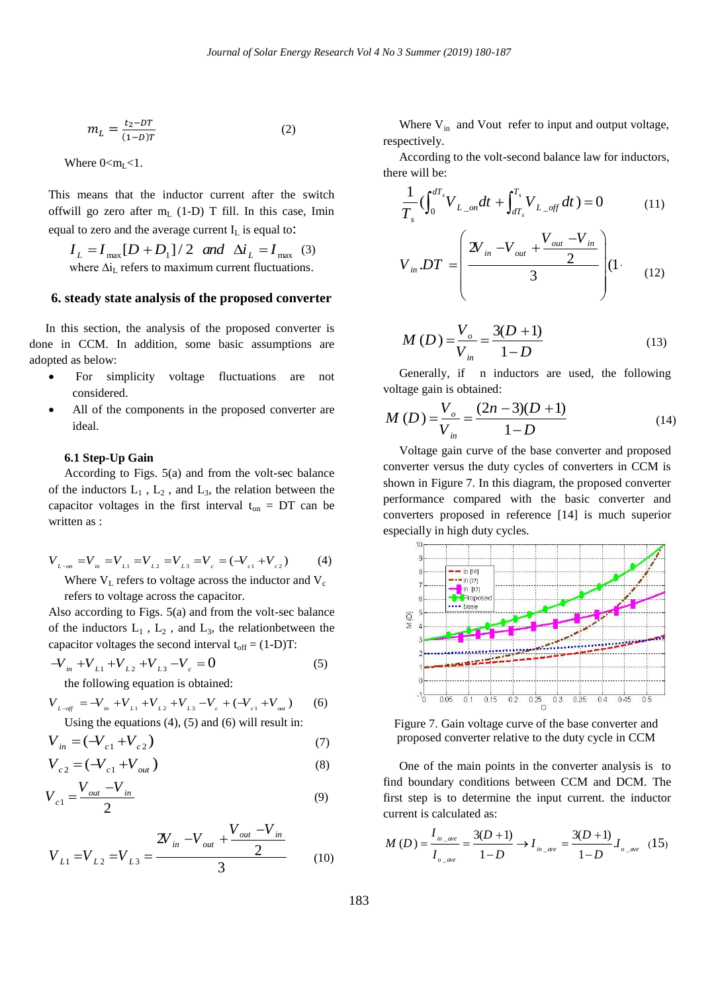$$
m_L = \frac{t_2 - DT}{(1 - D)T} \tag{2}
$$

Where  $0 < m<sub>L</sub> < 1$ .

This means that the inductor current after the switch offwill go zero after  $m<sub>L</sub>$  (1-D) T fill. In this case, Imin equal to zero and the average current  $I_L$  is equal to:

 $I_L = I_{\text{max}} [D + D_1]/2$  and  $\Delta i_L = I_{\text{max}}$  (3) where  $\Delta i_I$  refers to maximum current fluctuations.

#### **6. steady state analysis of the proposed converter**

In this section, the analysis of the proposed converter is done in CCM. In addition, some basic assumptions are adopted as below:

- For simplicity voltage fluctuations are not considered.
- All of the components in the proposed converter are ideal.

#### **6.1 Step-Up Gain**

According to Figs. 5(a) and from the volt-sec balance of the inductors  $L_1$ ,  $L_2$ , and  $L_3$ , the relation between the capacitor voltages in the first interval  $t_{on} = DT$  can be written as :

$$
V_{L_{\text{corr}}} = V_{in} = V_{L1} = V_{L2} = V_{L3} = V_{c} = (-V_{c1} + V_{c2})
$$
 (4)  
Where V<sub>L</sub> refers to voltage across the inductor and V<sub>c</sub>

refers to voltage across the capacitor.

Also according to Figs. 5(a) and from the volt-sec balance of the inductors  $L_1$ ,  $L_2$ , and  $L_3$ , the relationbetween the capacitor voltages the second interval  $t_{off} = (1-D)T$ :

$$
-V_{in} + V_{L1} + V_{L2} + V_{L3} - V_c = 0
$$
 (5)

the following equation is obtained:  
\n
$$
V_{L-\text{eff}} = -V_{in} + V_{L1} + V_{L2} + V_{L3} - V_c + (-V_{c1} + V_{out})
$$
\n
$$
= -V_{in} + V_{L1} + V_{L2} + V_{L3} - V_c + (-V_{c1} + V_{out})
$$
\n
$$
= -V_{in} + V_{tot}
$$
\n
$$
= -V_{in} + V_{tot}
$$
\n
$$
= -V_{in} + V_{tot}
$$
\n
$$
= -V_{in} + V_{tot}
$$
\n
$$
= -V_{in} + V_{tot}
$$
\n
$$
= -V_{in} + V_{tot}
$$
\n
$$
= -V_{in} + V_{out}
$$
\n
$$
= -V_{in} + V_{out}
$$
\n
$$
= -V_{in} + V_{out}
$$
\n
$$
= -V_{in} + V_{out}
$$
\n
$$
= -V_{in} + V_{out}
$$
\n
$$
= -V_{out}
$$
\n
$$
= -V_{out}
$$
\n
$$
= -V_{out}
$$
\n
$$
= -V_{out}
$$
\n
$$
= -V_{out}
$$
\n
$$
= -V_{out}
$$
\n
$$
= -V_{out}
$$
\n
$$
= -V_{out}
$$
\n
$$
= -V_{out}
$$
\n
$$
= -V_{out}
$$
\n
$$
= -V_{out}
$$
\n
$$
= -V_{out}
$$
\n
$$
= -V_{out}
$$
\n
$$
= -V_{out}
$$
\n
$$
= -V_{out}
$$
\n
$$
= -V_{out}
$$
\n
$$
= -V_{out}
$$
\n
$$
= -V_{out}
$$
\n
$$
= -V_{out}
$$
\n
$$
= -V_{out}
$$
\n
$$
= -V_{out}
$$
\n
$$
= -V_{out}
$$
\n
$$
= -V_{out}
$$
\n
$$
= -V_{out}
$$
\n
$$
= -V_{out}
$$
\n
$$
= -V_{out}
$$
\n
$$
= -V_{out}
$$
\n
$$
= -V_{out}
$$
\n
$$
= -V_{
$$

$$
V_{in} = (-V_{c1} + V_{c2})
$$
\n(7)

$$
V_{c2} = (-V_{c1} + V_{out})
$$
 (8)

$$
V_{c1} = \frac{V_{out} - V_{in}}{2}
$$
 (9)

$$
V_{L1} = V_{L2} = V_{L3} = \frac{2V_{in} - V_{out} + \frac{V_{out} - V_{in}}{2}}{3}
$$
 (10)

Where  $V_{in}$  and Vout refer to input and output voltage, respectively.

According to the volt-second balance law for inductors, there will be:

e win be:  
\n
$$
\frac{1}{T_s} \left( \int_0^{dT_s} V_{L_{on}} dt + \int_{dT_s}^{T_s} V_{L_{off}} dt \right) = 0 \tag{11}
$$

$$
V_{in}DT = \left(\frac{2V_{in} - V_{out} + \frac{V_{out} - V_{in}}{2}}{3}\right)(1)
$$
 (12)

$$
M(D) = \frac{V_o}{V_{in}} = \frac{3(D+1)}{1-D}
$$
 (13)

Generally, if n inductors are used, the following voltage gain is obtained:

$$
M(D) = \frac{V_o}{V_{in}} = \frac{(2n-3)(D+1)}{1-D}
$$
 (14)

Voltage gain curve of the base converter and proposed converter versus the duty cycles of converters in CCM is shown in Figure 7. In this diagram, the proposed converter performance compared with the basic converter and converters proposed in reference [14] is much superior especially in high duty cycles.



Figure 7. Gain voltage curve of the base converter and proposed converter relative to the duty cycle in CCM

One of the main points in the converter analysis is to find boundary conditions between CCM and DCM. The first step is to determine the input current. the inductor current is calculated as:

current is calculated as:  
\n
$$
M(D) = \frac{I_{in\_ave}}{I_{o\_ave}} = \frac{3(D+1)}{1-D} \to I_{in\_ave} = \frac{3(D+1)}{1-D} I_{o\_ave}
$$
\n(15)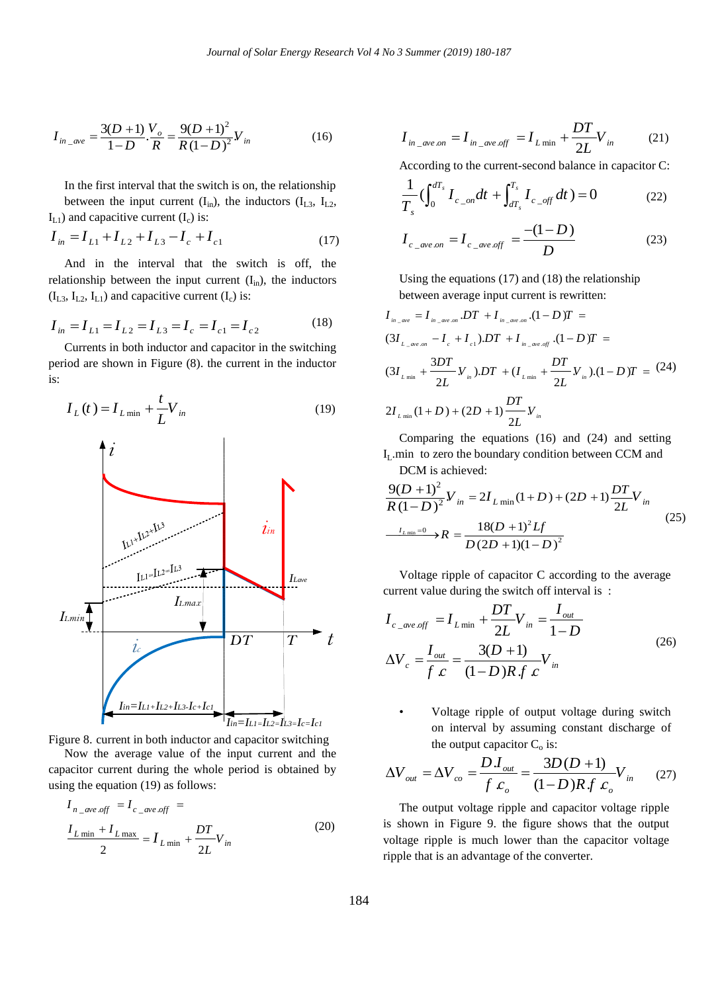$$
I_{in\_ave} = \frac{3(D+1)}{1-D} \cdot \frac{V_o}{R} = \frac{9(D+1)^2}{R(1-D)^2} V_{in}
$$
 (16)

In the first interval that the switch is on, the relationship between the input current  $(I_{in})$ , the inductors  $(I_{L3}, I_{L2})$ ,

$$
I_{L1}
$$
) and capacitive current  $(I_c)$  is:  
\n
$$
I_{in} = I_{L1} + I_{L2} + I_{L3} - I_c + I_{c1}
$$
\n(17)

And in the interval that the switch is off, the relationship between the input current  $(I_{in})$ , the inductors  $(I_{L3}, I_{L2}, I_{L1})$  and capacitive current  $(I_c)$  is:

$$
I_{in} = I_{L1} = I_{L2} = I_{L3} = I_c = I_{c1} = I_{c2}
$$
 (18)

Currents in both inductor and capacitor in the switching period are shown in Figure (8). the current in the inductor is:

$$
I_L(t) = I_{L \min} + \frac{t}{L} V_{in}
$$
 (19)



Now the average value of the input current and the capacitor current during the whole period is obtained by using the equation (19) as follows:

$$
I_{n\_ave \text{ off}} = I_{c\_ave \text{ off}} =
$$
  

$$
\frac{I_{L \min} + I_{L \max}}{2} = I_{L \min} + \frac{DT}{2L} V_{in}
$$
 (20)

$$
I_{in\_ave\,on} = I_{in\_ave\,off} = I_{L\min} + \frac{DT}{2L}V_{in}
$$
 (21)

According to the current-second balance in capacitor C:  
\n
$$
\frac{1}{T_s} \left( \int_0^{dT_s} I_{c\_on} dt + \int_{dT_s}^{T_s} I_{c\_off} dt \right) = 0
$$
\n(22)

$$
I_{c\_ave.on} = I_{c\_ave.off} = \frac{-(1-D)}{D}
$$
 (23)

Using the equations (17) and (18) the relationship

between average input current is rewritten:  
\n
$$
I_{m\_ave} = I_{m\_ave\_on} .DT + I_{m\_ave\_on} .(1 - D)T =
$$
\n
$$
(3I_{L\_ave\_on} - I_c + I_{c1}) .DT + I_{m\_ave\_off} .(1 - D)T =
$$
\n
$$
(3I_{L,min} + \frac{3DT}{2L}V_{in}) .DT + (I_{L,min} + \frac{DT}{2L}V_{in}) .(1 - D)T = (24)
$$
\n
$$
2I_{L,min} (1 + D) + (2D + 1) \frac{DT}{2L}V_{in}
$$

Comparing the equations (16) and (24) and setting I<sub>L</sub>.min to zero the boundary condition between CCM and

DCM is achieved:  
\n
$$
\frac{9(D+1)^2}{R(1-D)^2}V_{in} = 2I_{L min}(1+D) + (2D+1)\frac{DT}{2L}V_{in}
$$
\n
$$
\xrightarrow{I_{L min}=0} R = \frac{18(D+1)^2Lf}{D(2D+1)(1-D)^2}
$$
\n(25)

Voltage ripple of capacitor C according to the average current value during the switch off interval is :

$$
I_{c\_ave\;off} = I_{L\min} + \frac{DT}{2L}V_{in} = \frac{I_{out}}{1 - D}
$$
  
\n
$$
\Delta V_c = \frac{I_{out}}{f} = \frac{3(D + 1)}{(1 - D)Rf}V_{in}
$$
\n(26)

• Voltage ripple of output voltage during switch on interval by assuming constant discharge of

the output capacitor C<sub>o</sub> is:  
\n
$$
\Delta V_{out} = \Delta V_{co} = \frac{D.I_{out}}{f c_o} = \frac{3D(D+1)}{(1-D)Rf c_o} V_{in}
$$
 (27)

The output voltage ripple and capacitor voltage ripple is shown in Figure 9. the figure shows that the output voltage ripple is much lower than the capacitor voltage ripple that is an advantage of the converter.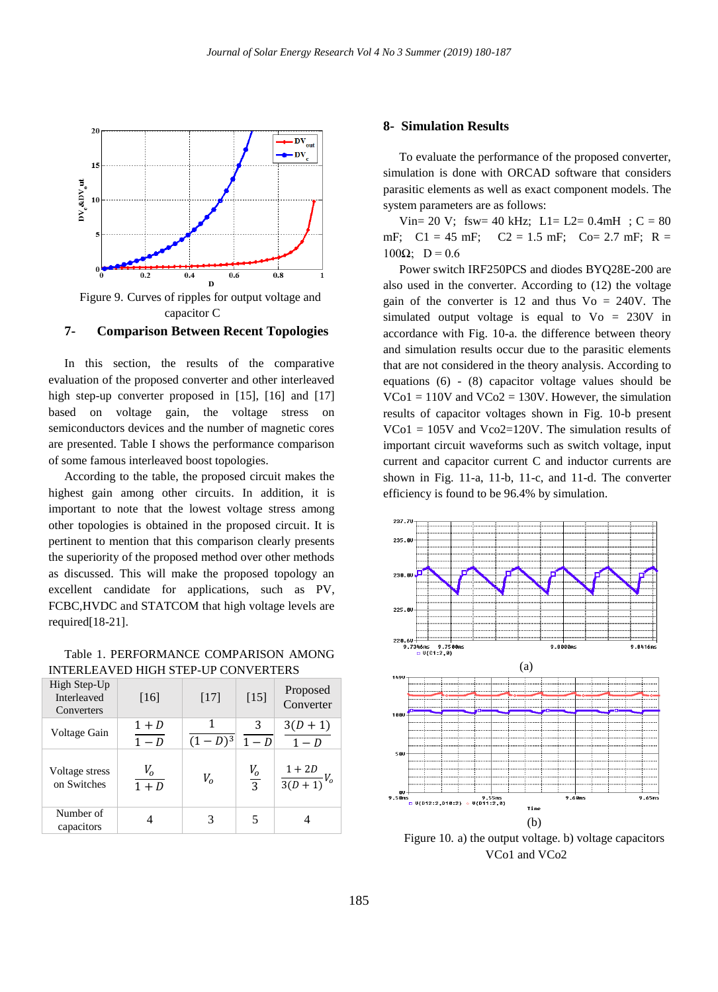

Figure 9. Curves of ripples for output voltage and capacitor C

#### **7- Comparison Between Recent Topologies**

In this section, the results of the comparative evaluation of the proposed converter and other interleaved high step-up converter proposed in [15], [16] and [17] based on voltage gain, the voltage stress on semiconductors devices and the number of magnetic cores are presented. Table I shows the performance comparison of some famous interleaved boost topologies.

According to the table, the proposed circuit makes the highest gain among other circuits. In addition, it is important to note that the lowest voltage stress among other topologies is obtained in the proposed circuit. It is pertinent to mention that this comparison clearly presents the superiority of the proposed method over other methods as discussed. This will make the proposed topology an excellent candidate for applications, such as PV, FCBC,HVDC and STATCOM that high voltage levels are required[18-21].

Table 1. PERFORMANCE COMPARISON AMONG INTERLEAVED HIGH STEP-UP CONVERTERS

| High Step-Up<br>Interleaved<br>Converters | [16]                               | [17]           | $[15]$          | Proposed<br>Converter           |
|-------------------------------------------|------------------------------------|----------------|-----------------|---------------------------------|
| Voltage Gain                              | $1+D$<br>$\overline{1-D}$          | 1<br>$(1-D)^3$ | 3<br>$-D$       | $\frac{3(D+1)}{1-D}$            |
| Voltage stress<br>on Switches             | V <sub>o</sub><br>$\overline{1+D}$ | V <sub>o</sub> | $\frac{V_0}{3}$ | $1+2D$<br>$\frac{1}{3(D+1)}V_0$ |
| Number of<br>capacitors                   |                                    | 3              |                 |                                 |

#### **8- Simulation Results**

To evaluate the performance of the proposed converter, simulation is done with ORCAD software that considers parasitic elements as well as exact component models. The system parameters are as follows:

Vin= 20 V; fsw= 40 kHz; L1= L2= 0.4mH ; C = 80 mF;  $C1 = 45$  mF;  $C2 = 1.5$  mF;  $C0 = 2.7$  mF;  $R =$  $100Ω;$  D = 0.6

Power switch IRF250PCS and diodes BYQ28E-200 are also used in the converter. According to (12) the voltage gain of the converter is 12 and thus  $Vo = 240V$ . The simulated output voltage is equal to  $Vo = 230V$  in accordance with Fig. 10-a. the difference between theory and simulation results occur due to the parasitic elements that are not considered in the theory analysis. According to equations (6) - (8) capacitor voltage values should be  $VCo1 = 110V$  and  $VCo2 = 130V$ . However, the simulation results of capacitor voltages shown in Fig. 10-b present  $VCo1 = 105V$  and  $Vco2=120V$ . The simulation results of important circuit waveforms such as switch voltage, input current and capacitor current C and inductor currents are shown in Fig. 11-a, 11-b, 11-c, and 11-d. The converter efficiency is found to be 96.4% by simulation.



Figure 10. a) the output voltage. b) voltage capacitors VCo1 and VCo2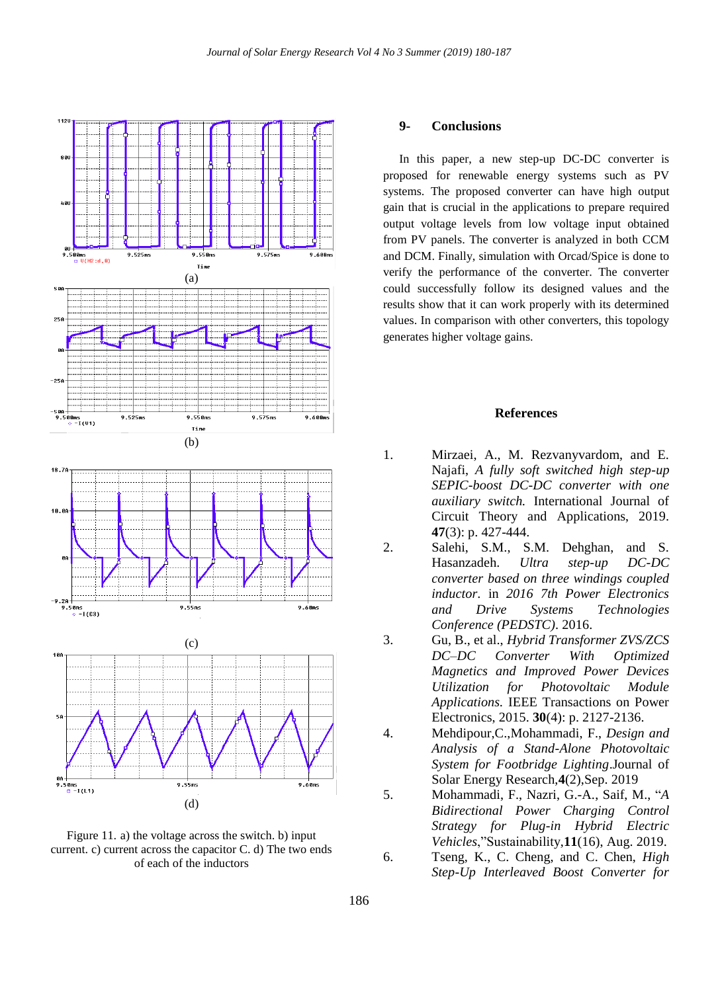

Figure 11. a) the voltage across the switch. b) input current. c) current across the capacitor C. d) The two ends of each of the inductors

#### **9- Conclusions**

In this paper, a new step-up DC-DC converter is proposed for renewable energy systems such as PV systems. The proposed converter can have high output gain that is crucial in the applications to prepare required output voltage levels from low voltage input obtained from PV panels. The converter is analyzed in both CCM and DCM. Finally, simulation with Orcad/Spice is done to verify the performance of the converter. The converter could successfully follow its designed values and the results show that it can work properly with its determined values. In comparison with other converters, this topology generates higher voltage gains.

#### **References**

- 1. Mirzaei, A., M. Rezvanyvardom, and E. Najafi, *A fully soft switched high step-up SEPIC-boost DC-DC converter with one auxiliary switch.* International Journal of Circuit Theory and Applications, 2019. **47**(3): p. 427-444.
- 2. Salehi, S.M., S.M. Dehghan, and S. Hasanzadeh. *Ultra step-up DC-DC converter based on three windings coupled inductor*. in *2016 7th Power Electronics and Drive Systems Technologies Conference (PEDSTC)*. 2016.
- 3. Gu, B., et al., *Hybrid Transformer ZVS/ZCS DC–DC Converter With Optimized Magnetics and Improved Power Devices Utilization for Photovoltaic Module Applications.* IEEE Transactions on Power Electronics, 2015. **30**(4): p. 2127-2136.
- 4. Mehdipour,C.,Mohammadi, F., *Design and Analysis of a Stand-Alone Photovoltaic System for Footbridge Lighting*.Journal of Solar Energy Research,**4**(2),Sep. 2019
- 5. Mohammadi, F., Nazri, G.-A., Saif, M., "*A Bidirectional Power Charging Control Strategy for Plug-in Hybrid Electric Vehicles*,"Sustainability,**11**(16), Aug. 2019.
- 6. Tseng, K., C. Cheng, and C. Chen, *High Step-Up Interleaved Boost Converter for*